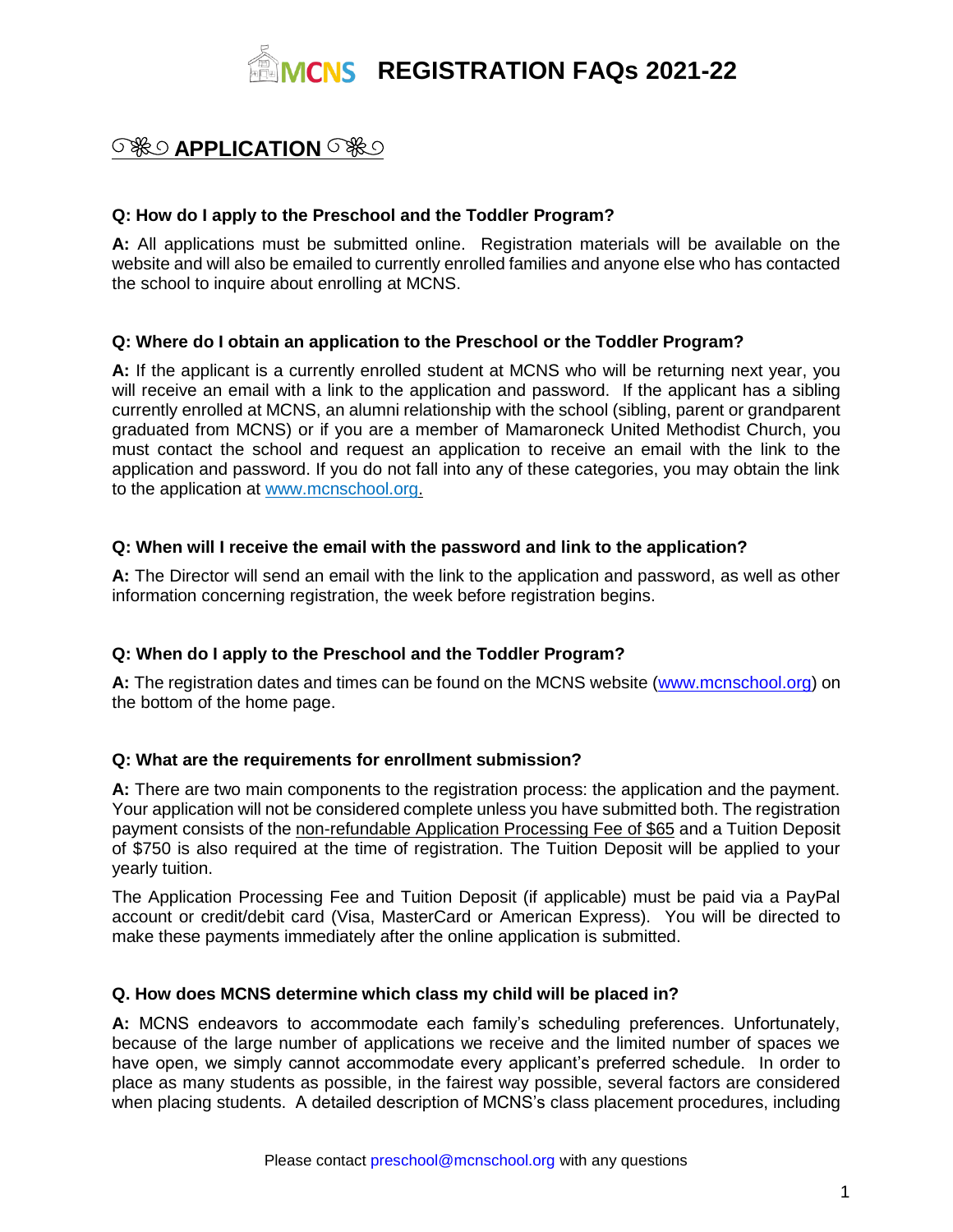

# **SHO APPLICATION** SHO

# **Q: How do I apply to the Preschool and the Toddler Program?**

**A:** All applications must be submitted online. Registration materials will be available on the website and will also be emailed to currently enrolled families and anyone else who has contacted the school to inquire about enrolling at MCNS.

# **Q: Where do I obtain an application to the Preschool or the Toddler Program?**

**A:** If the applicant is a currently enrolled student at MCNS who will be returning next year, you will receive an email with a link to the application and password. If the applicant has a sibling currently enrolled at MCNS, an alumni relationship with the school (sibling, parent or grandparent graduated from MCNS) or if you are a member of Mamaroneck United Methodist Church, you must contact the school and request an application to receive an email with the link to the application and password. If you do not fall into any of these categories, you may obtain the link to the application at [www.mcnschool.org.](http://www.mcnschool.org/)

# **Q: When will I receive the email with the password and link to the application?**

**A:** The Director will send an email with the link to the application and password, as well as other information concerning registration, the week before registration begins.

# **Q: When do I apply to the Preschool and the Toddler Program?**

A: The registration dates and times can be found on the MCNS website [\(www.mcnschool.org\)](http://www.mcnschoolo.org/) on the bottom of the home page.

# **Q: What are the requirements for enrollment submission?**

**A:** There are two main components to the registration process: the application and the payment. Your application will not be considered complete unless you have submitted both. The registration payment consists of the non-refundable Application Processing Fee of \$65 and a Tuition Deposit of \$750 is also required at the time of registration. The Tuition Deposit will be applied to your yearly tuition.

The Application Processing Fee and Tuition Deposit (if applicable) must be paid via a PayPal account or credit/debit card (Visa, MasterCard or American Express). You will be directed to make these payments immediately after the online application is submitted.

# **Q. How does MCNS determine which class my child will be placed in?**

**A:** MCNS endeavors to accommodate each family's scheduling preferences. Unfortunately, because of the large number of applications we receive and the limited number of spaces we have open, we simply cannot accommodate every applicant's preferred schedule. In order to place as many students as possible, in the fairest way possible, several factors are considered when placing students. A detailed description of MCNS's class placement procedures, including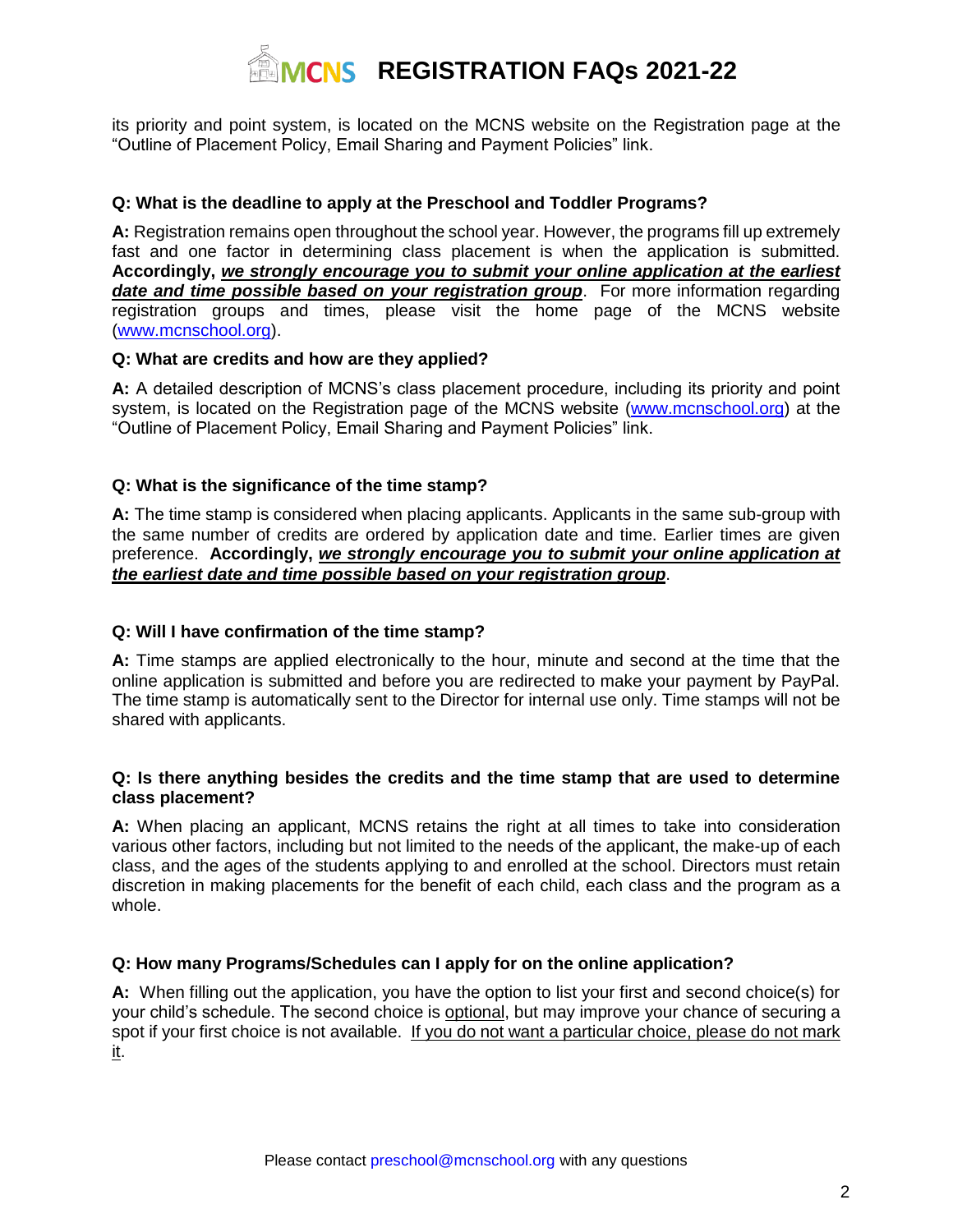# **REGISTRATION FAQS 2021-22**

its priority and point system, is located on the MCNS website on the Registration page at the "Outline of Placement Policy, Email Sharing and Payment Policies" link.

# **Q: What is the deadline to apply at the Preschool and Toddler Programs?**

**A:** Registration remains open throughout the school year. However, the programs fill up extremely fast and one factor in determining class placement is when the application is submitted. **Accordingly,** *we strongly encourage you to submit your online application at the earliest date and time possible based on your registration group*. For more information regarding registration groups and times, please visit the home page of the MCNS website [\(www.mcnschool.org\)](http://www.mcnschool.org/).

# **Q: What are credits and how are they applied?**

**A:** A detailed description of MCNS's class placement procedure, including its priority and point system, is located on the Registration page of the MCNS website [\(www.mcnschool.org\)](http://www.mcnschool.org/) at the "Outline of Placement Policy, Email Sharing and Payment Policies" link.

# **Q: What is the significance of the time stamp?**

**A:** The time stamp is considered when placing applicants. Applicants in the same sub-group with the same number of credits are ordered by application date and time. Earlier times are given preference. **Accordingly,** *we strongly encourage you to submit your online application at the earliest date and time possible based on your registration group*.

# **Q: Will I have confirmation of the time stamp?**

**A:** Time stamps are applied electronically to the hour, minute and second at the time that the online application is submitted and before you are redirected to make your payment by PayPal. The time stamp is automatically sent to the Director for internal use only. Time stamps will not be shared with applicants.

# **Q: Is there anything besides the credits and the time stamp that are used to determine class placement?**

**A:** When placing an applicant, MCNS retains the right at all times to take into consideration various other factors, including but not limited to the needs of the applicant, the make-up of each class, and the ages of the students applying to and enrolled at the school. Directors must retain discretion in making placements for the benefit of each child, each class and the program as a whole.

# **Q: How many Programs/Schedules can I apply for on the online application?**

**A:** When filling out the application, you have the option to list your first and second choice(s) for your child's schedule. The second choice is optional, but may improve your chance of securing a spot if your first choice is not available. If you do not want a particular choice, please do not mark it.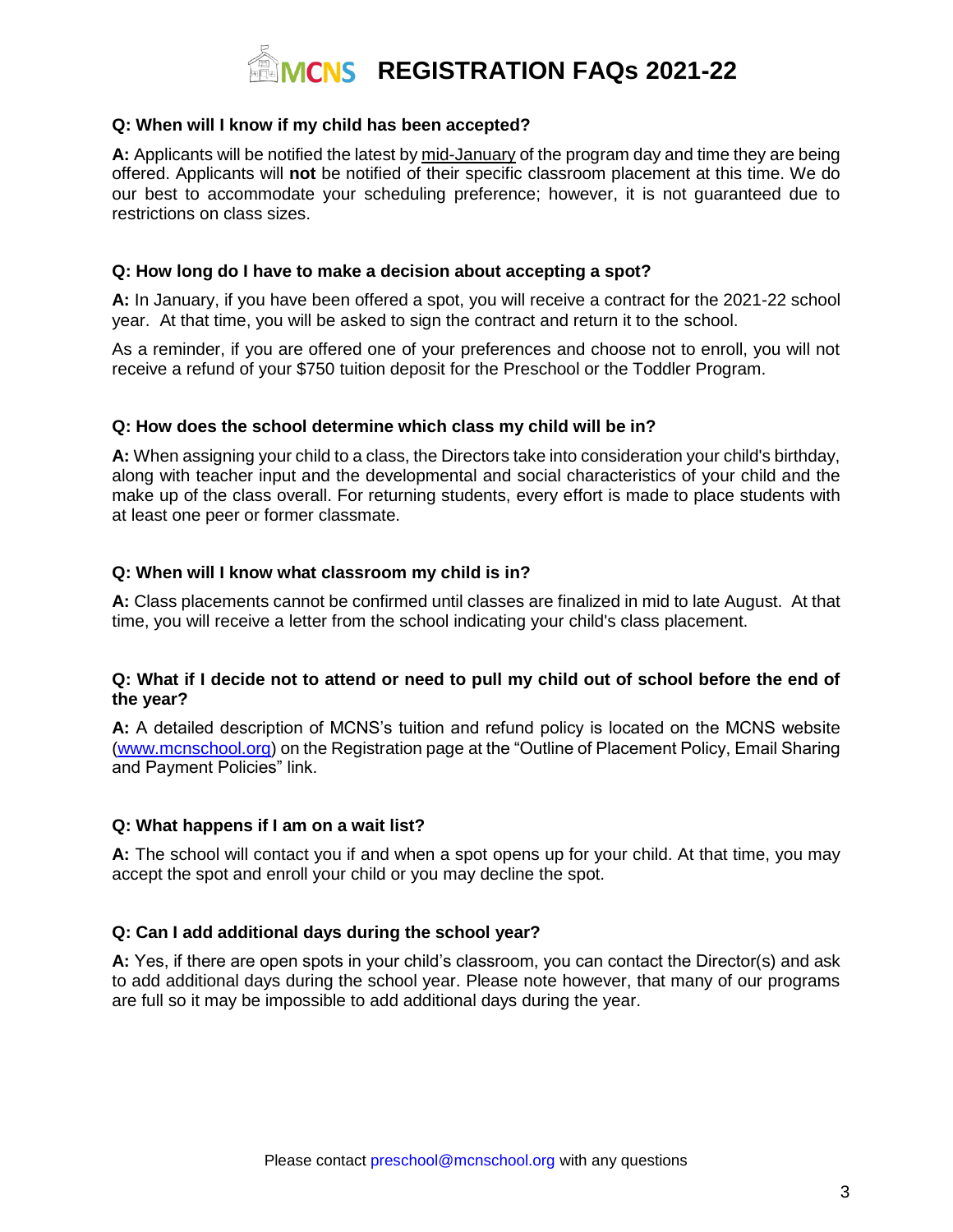

# **Q: When will I know if my child has been accepted?**

**A:** Applicants will be notified the latest by mid-January of the program day and time they are being offered. Applicants will **not** be notified of their specific classroom placement at this time. We do our best to accommodate your scheduling preference; however, it is not guaranteed due to restrictions on class sizes.

# **Q: How long do I have to make a decision about accepting a spot?**

**A:** In January, if you have been offered a spot, you will receive a contract for the 2021-22 school year. At that time, you will be asked to sign the contract and return it to the school.

As a reminder, if you are offered one of your preferences and choose not to enroll, you will not receive a refund of your \$750 tuition deposit for the Preschool or the Toddler Program.

# **Q: How does the school determine which class my child will be in?**

**A:** When assigning your child to a class, the Directors take into consideration your child's birthday, along with teacher input and the developmental and social characteristics of your child and the make up of the class overall. For returning students, every effort is made to place students with at least one peer or former classmate.

# **Q: When will I know what classroom my child is in?**

**A:** Class placements cannot be confirmed until classes are finalized in mid to late August. At that time, you will receive a letter from the school indicating your child's class placement.

# **Q: What if I decide not to attend or need to pull my child out of school before the end of the year?**

**A:** A detailed description of MCNS's tuition and refund policy is located on the MCNS website [\(www.mcnschool.org\)](http://www.mcnschool.org/) on the Registration page at the "Outline of Placement Policy, Email Sharing and Payment Policies" link.

# **Q: What happens if I am on a wait list?**

**A:** The school will contact you if and when a spot opens up for your child. At that time, you may accept the spot and enroll your child or you may decline the spot.

# **Q: Can I add additional days during the school year?**

**A:** Yes, if there are open spots in your child's classroom, you can contact the Director(s) and ask to add additional days during the school year. Please note however, that many of our programs are full so it may be impossible to add additional days during the year.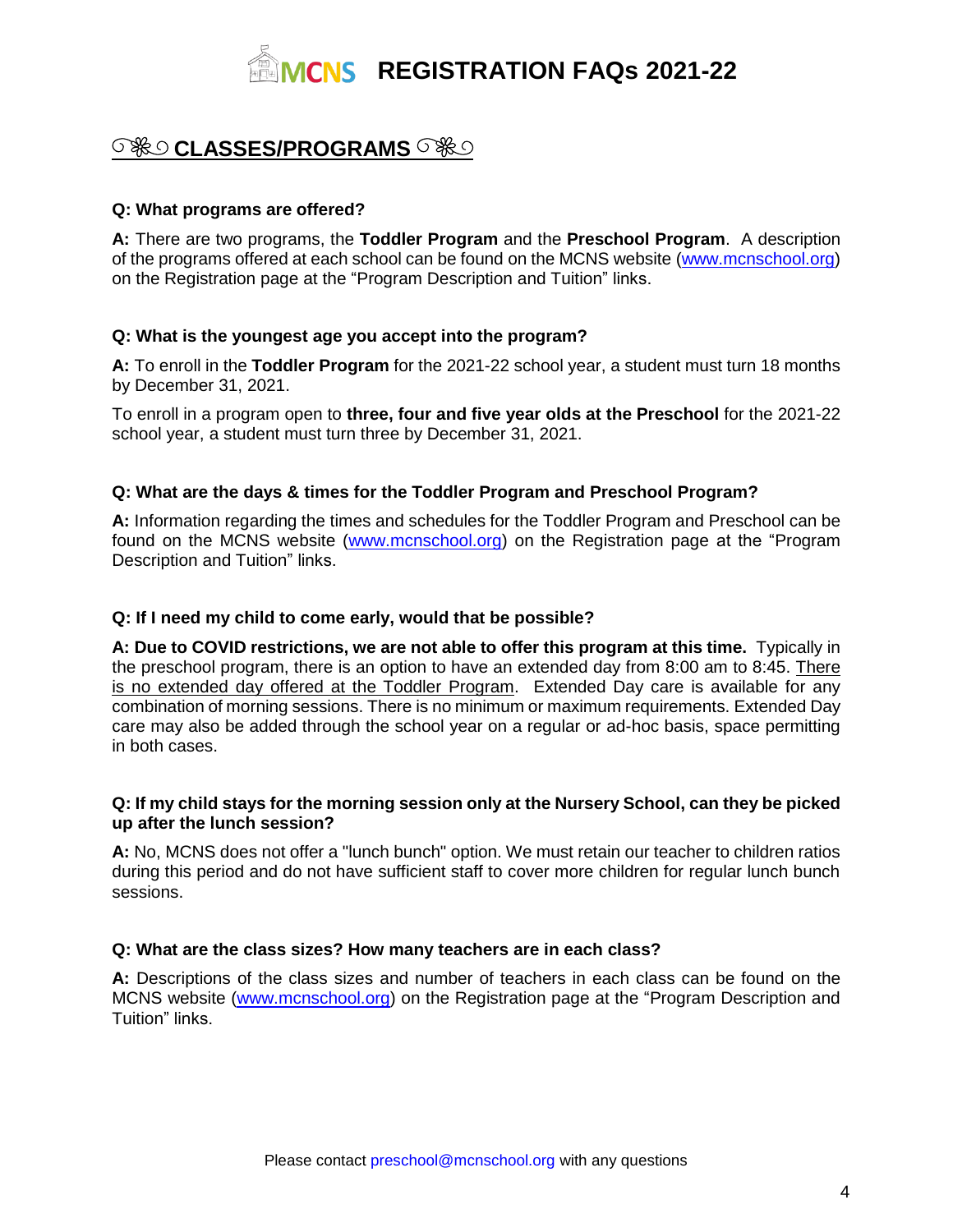

# **S & CLASSES/PROGRAMS**

# **Q: What programs are offered?**

**A:** There are two programs, the **Toddler Program** and the **Preschool Program**. A description of the programs offered at each school can be found on the MCNS website [\(www.mcnschool.org\)](http://www.mcnschool.org/) on the Registration page at the "Program Description and Tuition" links.

# **Q: What is the youngest age you accept into the program?**

**A:** To enroll in the **Toddler Program** for the 2021-22 school year, a student must turn 18 months by December 31, 2021.

To enroll in a program open to **three, four and five year olds at the Preschool** for the 2021-22 school year, a student must turn three by December 31, 2021.

# **Q: What are the days & times for the Toddler Program and Preschool Program?**

**A:** Information regarding the times and schedules for the Toddler Program and Preschool can be found on the MCNS website [\(www.mcnschool.org\)](http://www.mcnschool.org/) on the Registration page at the "Program Description and Tuition" links.

# **Q: If I need my child to come early, would that be possible?**

**A: Due to COVID restrictions, we are not able to offer this program at this time.** Typically in the preschool program, there is an option to have an extended day from 8:00 am to 8:45. There is no extended day offered at the Toddler Program. Extended Day care is available for any combination of morning sessions. There is no minimum or maximum requirements. Extended Day care may also be added through the school year on a regular or ad-hoc basis, space permitting in both cases.

# **Q: If my child stays for the morning session only at the Nursery School, can they be picked up after the lunch session?**

**A:** No, MCNS does not offer a "lunch bunch" option. We must retain our teacher to children ratios during this period and do not have sufficient staff to cover more children for regular lunch bunch sessions.

# **Q: What are the class sizes? How many teachers are in each class?**

**A:** Descriptions of the class sizes and number of teachers in each class can be found on the MCNS website [\(www.mcnschool.org\)](http://www.mcnschool.org/) on the Registration page at the "Program Description and Tuition" links.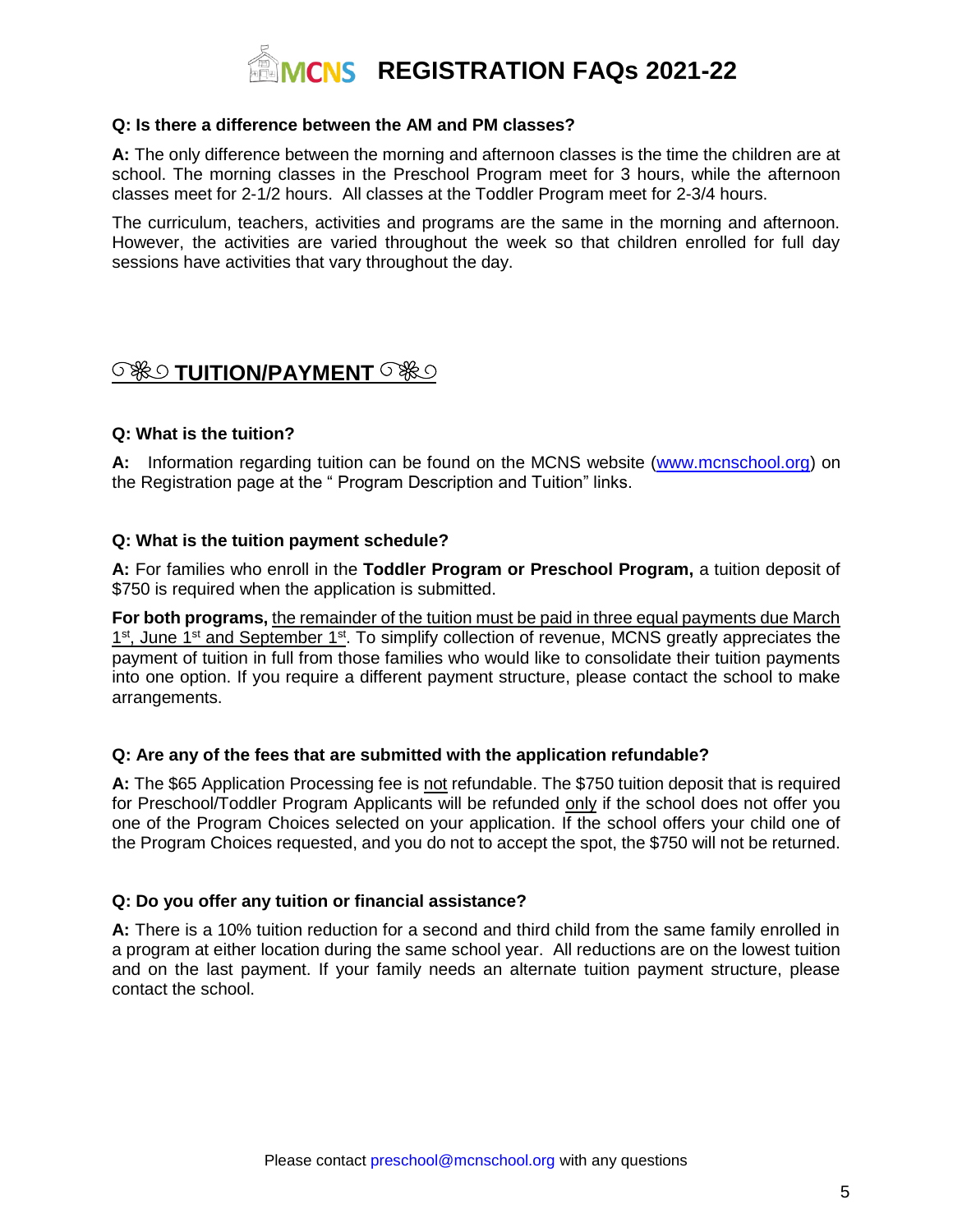

# **Q: Is there a difference between the AM and PM classes?**

**A:** The only difference between the morning and afternoon classes is the time the children are at school. The morning classes in the Preschool Program meet for 3 hours, while the afternoon classes meet for 2-1/2 hours. All classes at the Toddler Program meet for 2-3/4 hours.

The curriculum, teachers, activities and programs are the same in the morning and afternoon. However, the activities are varied throughout the week so that children enrolled for full day sessions have activities that vary throughout the day.

# **SHOTUITION/PAYMENT** SHO

# **Q: What is the tuition?**

A: Information regarding tuition can be found on the MCNS website [\(www.mcnschool.org\)](http://www.mcnschool.org/) on the Registration page at the " Program Description and Tuition" links.

# **Q: What is the tuition payment schedule?**

**A:** For families who enroll in the **Toddler Program or Preschool Program,** a tuition deposit of \$750 is required when the application is submitted.

**For both programs,** the remainder of the tuition must be paid in three equal payments due March 1<sup>st</sup>, June 1<sup>st</sup> and September 1<sup>st</sup>. To simplify collection of revenue, MCNS greatly appreciates the payment of tuition in full from those families who would like to consolidate their tuition payments into one option. If you require a different payment structure, please contact the school to make arrangements.

# **Q: Are any of the fees that are submitted with the application refundable?**

**A:** The \$65 Application Processing fee is not refundable. The \$750 tuition deposit that is required for Preschool/Toddler Program Applicants will be refunded only if the school does not offer you one of the Program Choices selected on your application. If the school offers your child one of the Program Choices requested, and you do not to accept the spot, the \$750 will not be returned.

# **Q: Do you offer any tuition or financial assistance?**

**A:** There is a 10% tuition reduction for a second and third child from the same family enrolled in a program at either location during the same school year. All reductions are on the lowest tuition and on the last payment. If your family needs an alternate tuition payment structure, please contact the school.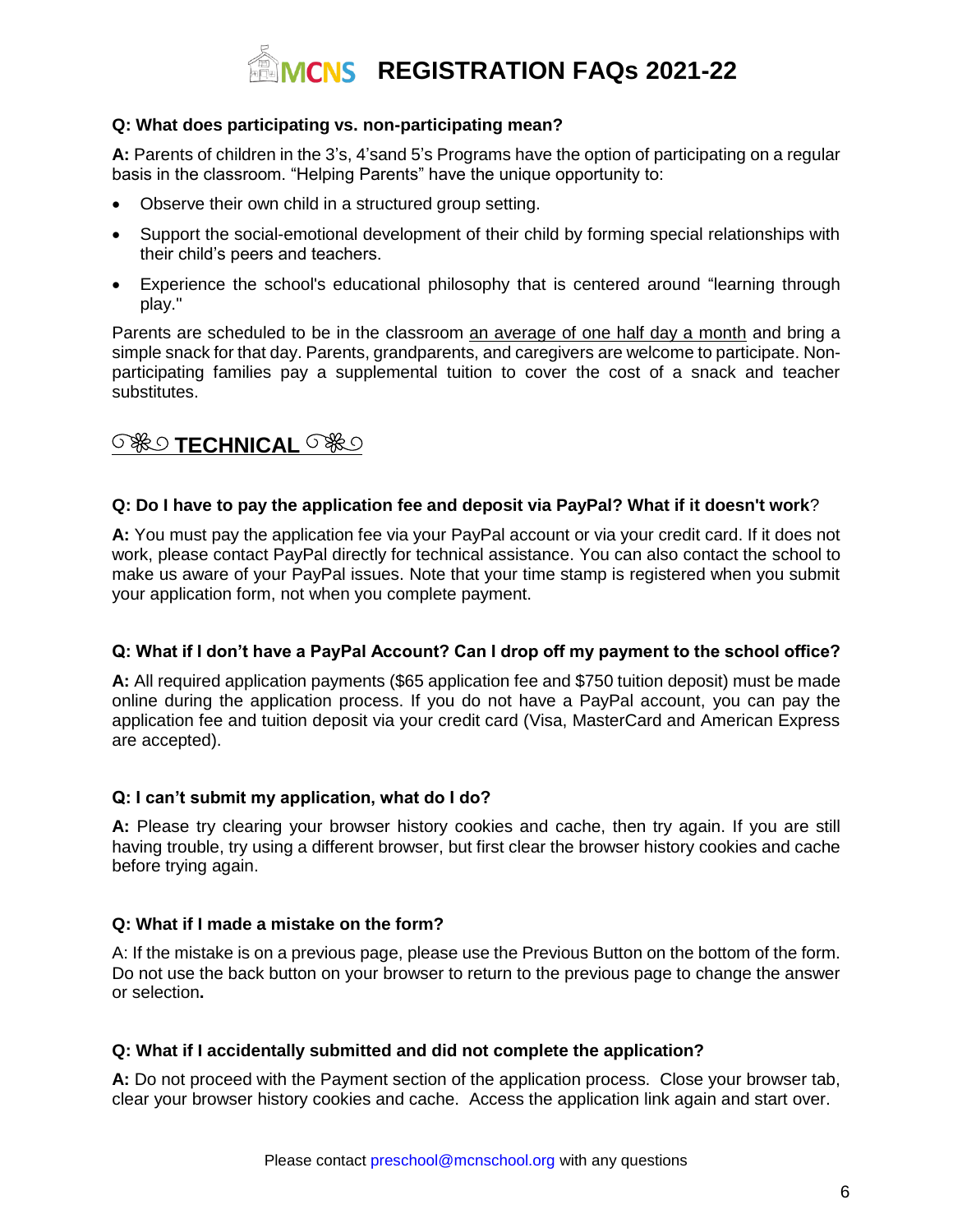

# **Q: What does participating vs. non-participating mean?**

**A:** Parents of children in the 3's, 4'sand 5's Programs have the option of participating on a regular basis in the classroom. "Helping Parents" have the unique opportunity to:

- Observe their own child in a structured group setting.
- Support the social-emotional development of their child by forming special relationships with their child's peers and teachers.
- Experience the school's educational philosophy that is centered around "learning through play."

Parents are scheduled to be in the classroom an average of one half day a month and bring a simple snack for that day. Parents, grandparents, and caregivers are welcome to participate. Nonparticipating families pay a supplemental tuition to cover the cost of a snack and teacher substitutes.

# **SHO TECHNICAL** SHO

# **Q: Do I have to pay the application fee and deposit via PayPal? What if it doesn't work**?

**A:** You must pay the application fee via your PayPal account or via your credit card. If it does not work, please contact PayPal directly for technical assistance. You can also contact the school to make us aware of your PayPal issues. Note that your time stamp is registered when you submit your application form, not when you complete payment.

# **Q: What if I don't have a PayPal Account? Can I drop off my payment to the school office?**

**A:** All required application payments (\$65 application fee and \$750 tuition deposit) must be made online during the application process. If you do not have a PayPal account, you can pay the application fee and tuition deposit via your credit card (Visa, MasterCard and American Express are accepted).

# **Q: I can't submit my application, what do I do?**

**A:** Please try clearing your browser history cookies and cache, then try again. If you are still having trouble, try using a different browser, but first clear the browser history cookies and cache before trying again.

# **Q: What if I made a mistake on the form?**

A: If the mistake is on a previous page, please use the Previous Button on the bottom of the form. Do not use the back button on your browser to return to the previous page to change the answer or selection**.**

# **Q: What if I accidentally submitted and did not complete the application?**

**A:** Do not proceed with the Payment section of the application process. Close your browser tab, clear your browser history cookies and cache. Access the application link again and start over.